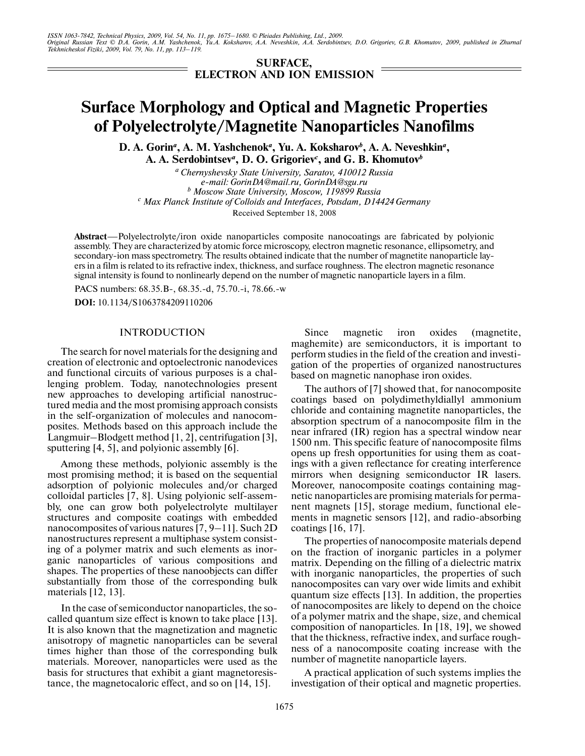**SURFACE, ELECTRON AND ION EMISSION**

# **Surface Morphology and Optical and Magnetic Properties of Polyelectrolyte/Magnetite Nanoparticles Nanofilms**

D. A. Gorin<sup>a</sup>, A. M. Yashchenok<sup>a</sup>, Yu. A. Koksharov<sup>b</sup>, A. A. Neveshkin<sup>a</sup>, **A. A. Serdobintsev***<sup>a</sup>* **, D. O. Grigoriev***<sup>c</sup>* **, and G. B. Khomutov***<sup>b</sup>*

*a Chernyshevsky State University, Saratov, 410012 Russia e-mail: GorinDA@mail.ru, GorinDA@sgu.ru <sup>b</sup> Moscow State University, Moscow, 119899 Russia <sup>c</sup> Max Planck Institute of Colloids and Interfaces, Potsdam, D14424 Germany* Received September 18, 2008

**Abstract**—Polyelectrolyte/iron oxide nanoparticles composite nanocoatings are fabricated by polyionic assembly. They are characterized by atomic force microscopy, electron magnetic resonance, ellipsometry, and secondary-ion mass spectrometry. The results obtained indicate that the number of magnetite nanoparticle layers in a film is related to its refractive index, thickness, and surface roughness. The electron magnetic resonance signal intensity is found to nonlinearly depend on the number of magnetic nanoparticle layers in a film.

PACS numbers: 68.35.B-, 68.35.-d, 75.70.-i, 78.66.-w

**DOI:** 10.1134/S1063784209110206

#### INTRODUCTION

The search for novel materials for the designing and creation of electronic and optoelectronic nanodevices and functional circuits of various purposes is a chal lenging problem. Today, nanotechnologies present new approaches to developing artificial nanostruc tured media and the most promising approach consists in the self-organization of molecules and nanocom posites. Methods based on this approach include the Langmuir–Blodgett method [1, 2], centrifugation [3], sputtering [4, 5], and polyionic assembly [6].

Among these methods, polyionic assembly is the most promising method; it is based on the sequential adsorption of polyionic molecules and/or charged colloidal particles [7, 8]. Using polyionic self-assem bly, one can grow both polyelectrolyte multilayer structures and composite coatings with embedded nanocomposites of various natures [7, 9–11]. Such 2D nanostructures represent a multiphase system consist ing of a polymer matrix and such elements as inor ganic nanoparticles of various compositions and shapes. The properties of these nanoobjects can differ substantially from those of the corresponding bulk materials [12, 13].

In the case of semiconductor nanoparticles, the so called quantum size effect is known to take place [13]. It is also known that the magnetization and magnetic anisotropy of magnetic nanoparticles can be several times higher than those of the corresponding bulk materials. Moreover, nanoparticles were used as the basis for structures that exhibit a giant magnetoresis tance, the magnetocaloric effect, and so on [14, 15].

Since magnetic iron oxides (magnetite, maghemite) are semiconductors, it is important to perform studies in the field of the creation and investi gation of the properties of organized nanostructures based on magnetic nanophase iron oxides.

The authors of [7] showed that, for nanocomposite coatings based on polydimethyldiallyl ammonium chloride and containing magnetite nanoparticles, the absorption spectrum of a nanocomposite film in the near infrared (IR) region has a spectral window near 1500 nm. This specific feature of nanocomposite films opens up fresh opportunities for using them as coat ings with a given reflectance for creating interference mirrors when designing semiconductor IR lasers. Moreover, nanocomposite coatings containing mag netic nanoparticles are promising materials for perma nent magnets [15], storage medium, functional ele ments in magnetic sensors [12], and radio-absorbing coatings [16, 17].

The properties of nanocomposite materials depend on the fraction of inorganic particles in a polymer matrix. Depending on the filling of a dielectric matrix with inorganic nanoparticles, the properties of such nanocomposites can vary over wide limits and exhibit quantum size effects [13]. In addition, the properties of nanocomposites are likely to depend on the choice of a polymer matrix and the shape, size, and chemical composition of nanoparticles. In [18, 19], we showed that the thickness, refractive index, and surface rough ness of a nanocomposite coating increase with the number of magnetite nanoparticle layers.

A practical application of such systems implies the investigation of their optical and magnetic properties.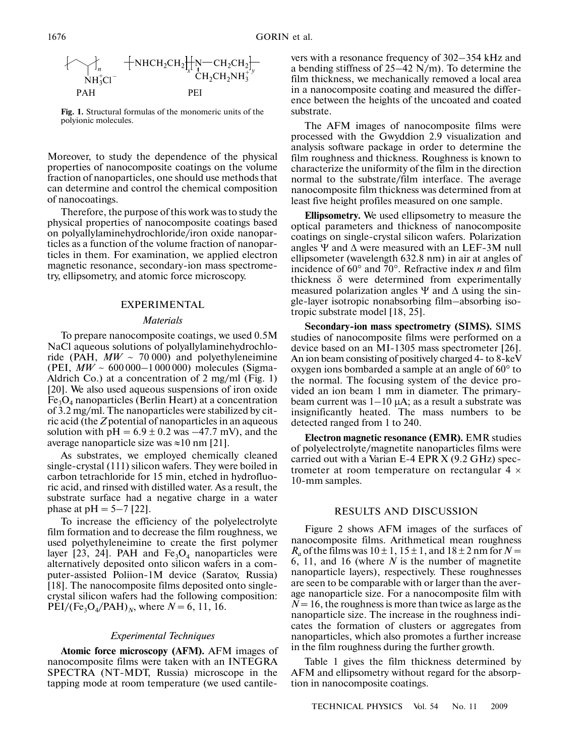$$
\{\bigtriangledown_{\substack{N\text{H}_3^+Cl^--}}+\text{NHCH}_2\text{CH}_2\text{H}_2\text{H}_2\text{CH}_2\text{NH}_3^+}\text{CH}_2\text{CH}_2\text{NH}_3^+}\text{CH}_2\text{CH}_2\text{NH}_3^+}
$$

**Fig. 1.** Structural formulas of the monomeric units of the polyionic molecules.

Moreover, to study the dependence of the physical properties of nanocomposite coatings on the volume fraction of nanoparticles, one should use methods that can determine and control the chemical composition of nanocoatings.

Therefore, the purpose of this work was to study the physical properties of nanocomposite coatings based on polyallylaminehydrochloride/iron oxide nanopar ticles as a function of the volume fraction of nanopar ticles in them. For examination, we applied electron magnetic resonance, secondary-ion mass spectrome try, ellipsometry, and atomic force microscopy.

## EXPERIMENTAL

#### *Materials*

To prepare nanocomposite coatings, we used 0.5M NaCl aqueous solutions of polyallylaminehydrochlo ride (PAH,  $MW \sim 70000$ ) and polyethyleneimine (PEI,  $MW \sim 600000 - 1000000$ ) molecules (Sigma-Aldrich Co.) at a concentration of 2 mg/ml (Fig. 1) [20]. We also used aqueous suspensions of iron oxide  $Fe<sub>3</sub>O<sub>4</sub>$  nanoparticles (Berlin Heart) at a concentration of 3.2 mg/ml. The nanoparticles were stabilized by cit ric acid (the *Z* potential of nanoparticles in an aqueous solution with  $pH = 6.9 \pm 0.2$  was  $-47.7$  mV), and the average nanoparticle size was ≈10 nm [21].

As substrates, we employed chemically cleaned single-crystal (111) silicon wafers. They were boiled in carbon tetrachloride for 15 min, etched in hydrofluo ric acid, and rinsed with distilled water. As a result, the substrate surface had a negative charge in a water phase at  $pH = 5-7$  [22].

To increase the efficiency of the polyelectrolyte film formation and to decrease the film roughness, we used polyethyleneimine to create the first polymer layer [23, 24]. PAH and  $Fe<sub>3</sub>O<sub>4</sub>$  nanoparticles were alternatively deposited onto silicon wafers in a com puter-assisted Poliion-1M device (Saratov, Russia) [18]. The nanocomposite films deposited onto single crystal silicon wafers had the following composition:  $PEI/(Fe<sub>3</sub>O<sub>4</sub>/PAH)<sub>N</sub>$ , where  $N = 6, 11, 16$ .

#### *Experimental Techniques*

**Atomic force microscopy (AFM).** AFM images of nanocomposite films were taken with an INTEGRA SPECTRA (NT-MDT, Russia) microscope in the tapping mode at room temperature (we used cantilevers with a resonance frequency of 302–354 kHz and a bending stiffness of 25–42 N/m). To determine the film thickness, we mechanically removed a local area in a nanocomposite coating and measured the differ ence between the heights of the uncoated and coated substrate.

The AFM images of nanocomposite films were processed with the Gwyddion 2.9 visualization and analysis software package in order to determine the film roughness and thickness. Roughness is known to characterize the uniformity of the film in the direction normal to the substrate/film interface. The average nanocomposite film thickness was determined from at least five height profiles measured on one sample.

**Ellipsometry.** We used ellipsometry to measure the optical parameters and thickness of nanocomposite coatings on single-crystal silicon wafers. Polarization angles  $\Psi$  and  $\Delta$  were measured with an LEF-3M null ellipsometer (wavelength 632.8 nm) in air at angles of incidence of 60° and 70°. Refractive index *n* and film thickness  $\delta$  were determined from experimentally measured polarization angles  $\Psi$  and  $\Delta$  using the single-layer isotropic nonabsorbing film–absorbing iso tropic substrate model [18, 25].

**Secondary-ion mass spectrometry (SIMS).** SIMS studies of nanocomposite films were performed on a device based on an MI-1305 mass spectrometer [26]. An ion beam consisting of positively charged 4- to 8-keV oxygen ions bombarded a sample at an angle of 60° to the normal. The focusing system of the device pro vided an ion beam 1 mm in diameter. The primary beam current was  $1-10$  μA; as a result a substrate was insignificantly heated. The mass numbers to be detected ranged from 1 to 240.

**Electron magnetic resonance (EMR).** EMR studies of polyelectrolyte/magnetite nanoparticles films were carried out with a Varian E-4 EPR X (9.2 GHz) spec trometer at room temperature on rectangular 4 × 10-mm samples.

## RESULTS AND DISCUSSION

Figure 2 shows AFM images of the surfaces of nanocomposite films. Arithmetical mean roughness  $R_a$  of the films was  $10 \pm 1$ ,  $15 \pm 1$ , and  $18 \pm 2$  nm for  $N =$ 6, 11, and 16 (where *N* is the number of magnetite nanoparticle layers), respectively. These roughnesses are seen to be comparable with or larger than the aver age nanoparticle size. For a nanocomposite film with  $N = 16$ , the roughness is more than twice as large as the nanoparticle size. The increase in the roughness indi cates the formation of clusters or aggregates from nanoparticles, which also promotes a further increase in the film roughness during the further growth.

Table 1 gives the film thickness determined by AFM and ellipsometry without regard for the absorp tion in nanocomposite coatings.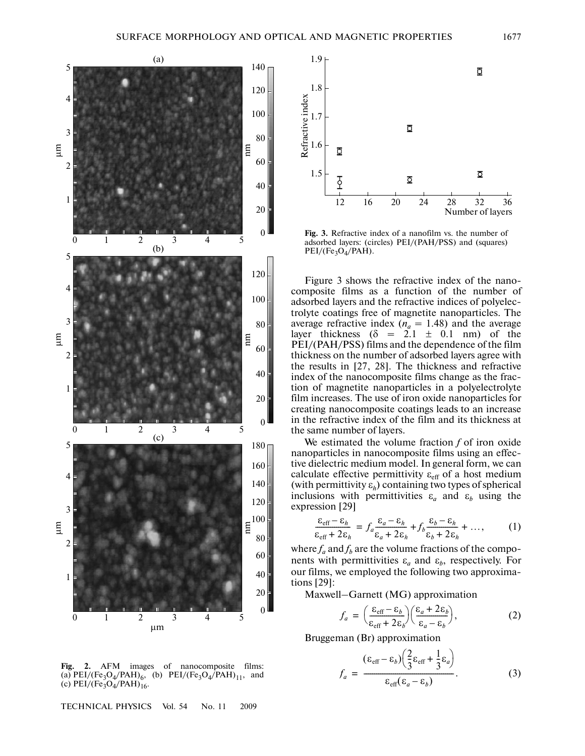

**Fig. 2.** AFM images of nanocomposite films: (a)  $PEI/(Fe<sub>3</sub>O<sub>4</sub>/PAH)<sub>6</sub>$ , (b)  $PEI/(Fe<sub>3</sub>O<sub>4</sub>/PAH)<sub>11</sub>$ , and (c)  $PEI/(Fe<sub>3</sub>O<sub>4</sub>/PAH)<sub>16</sub>$ .

TECHNICAL PHYSICS Vol. 54 No. 11 2009



**Fig. 3.** Refractive index of a nanofilm vs. the number of adsorbed layers: (circles) PEI/(PAH/PSS) and (squares)  $PEI/(Fe<sub>3</sub>O<sub>4</sub>/PAH).$ 

Figure 3 shows the refractive index of the nano composite films as a function of the number of adsorbed layers and the refractive indices of polyelec trolyte coatings free of magnetite nanoparticles. The average refractive index  $(n_a = 1.48)$  and the average layer thickness  $(\delta = 2.1 \pm 0.1 \text{ nm})$  of the PEI/(PAH/PSS) films and the dependence of the film thickness on the number of adsorbed layers agree with the results in [27, 28]. The thickness and refractive index of the nanocomposite films change as the frac tion of magnetite nanoparticles in a polyelectrolyte film increases. The use of iron oxide nanoparticles for creating nanocomposite coatings leads to an increase in the refractive index of the film and its thickness at the same number of layers.

We estimated the volume fraction *f* of iron oxide nanoparticles in nanocomposite films using an effec tive dielectric medium model. In general form, we can calculate effective permittivity  $\varepsilon_{\text{eff}}$  of a host medium (with permittivity ε*h*) containing two types of spherical inclusions with permittivities  $\varepsilon_a$  and  $\varepsilon_b$  using the expression [29]

$$
\frac{\varepsilon_{\text{eff}} - \varepsilon_h}{\varepsilon_{\text{eff}} + 2\varepsilon_h} = f_a \frac{\varepsilon_a - \varepsilon_h}{\varepsilon_a + 2\varepsilon_h} + f_b \frac{\varepsilon_b - \varepsilon_h}{\varepsilon_b + 2\varepsilon_h} + \dots,
$$
 (1)

where  $f_a$  and  $f_b$  are the volume fractions of the components with permittivities  $\varepsilon_a$  and  $\varepsilon_b$ , respectively. For our films, we employed the following two approxima tions [29]:

Maxwell–Garnett (MG) approximation

$$
f_a = \left(\frac{\varepsilon_{\text{eff}} - \varepsilon_b}{\varepsilon_{\text{eff}} + 2\varepsilon_b}\right) \left(\frac{\varepsilon_a + 2\varepsilon_b}{\varepsilon_a - \varepsilon_b}\right),\tag{2}
$$

Bruggeman (Br) approximation

$$
f_a = \frac{(\varepsilon_{\text{eff}} - \varepsilon_b) \left(\frac{2}{3} \varepsilon_{\text{eff}} + \frac{1}{3} \varepsilon_a\right)}{\varepsilon_{\text{eff}} (\varepsilon_a - \varepsilon_b)}.
$$
 (3)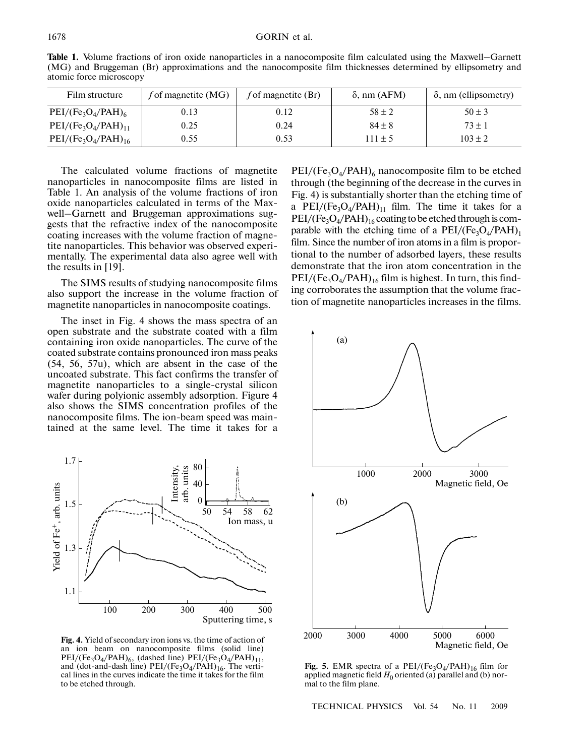**Table 1.** Volume fractions of iron oxide nanoparticles in a nanocomposite film calculated using the Maxwell–Garnett (MG) and Bruggeman (Br) approximations and the nanocomposite film thicknesses determined by ellipsometry and atomic force microscopy

| Film structure           | f of magnetite $(MG)$ | f of magnetite $(Br)$ | $\delta$ , nm (AFM) | $\delta$ , nm (ellipsometry) |
|--------------------------|-----------------------|-----------------------|---------------------|------------------------------|
| $PEI/(Fe3O4/PAH)6$       | 0.13                  | 0.12                  | $58 \pm 2$          | $50 \pm 3$                   |
| $PEI/(Fe3O4/PAH)11$      | 0.25                  | 0.24                  | $84 \pm 8$          | $73 \pm 1$                   |
| $PEI/(Fe_3O_4/PAH)_{16}$ | 0.55                  | 0.53                  | $111 \pm 5$         | $103 \pm 2$                  |

The calculated volume fractions of magnetite nanoparticles in nanocomposite films are listed in Table 1. An analysis of the volume fractions of iron oxide nanoparticles calculated in terms of the Max well–Garnett and Bruggeman approximations sug gests that the refractive index of the nanocomposite coating increases with the volume fraction of magne tite nanoparticles. This behavior was observed experi mentally. The experimental data also agree well with the results in [19].

The SIMS results of studying nanocomposite films also support the increase in the volume fraction of magnetite nanoparticles in nanocomposite coatings.

The inset in Fig. 4 shows the mass spectra of an open substrate and the substrate coated with a film containing iron oxide nanoparticles. The curve of the coated substrate contains pronounced iron mass peaks (54, 56, 57u), which are absent in the case of the uncoated substrate. This fact confirms the transfer of magnetite nanoparticles to a single-crystal silicon wafer during polyionic assembly adsorption. Figure 4 also shows the SIMS concentration profiles of the nanocomposite films. The ion-beam speed was main tained at the same level. The time it takes for a



**Fig. 4.** Yield of secondary iron ions vs. the time of action of an ion beam on nanocomposite films (solid line)  $PEI/(Fe<sub>3</sub>O<sub>4</sub>/PAH)<sub>6</sub>$ , (dashed line)  $PEI/(Fe<sub>3</sub>O<sub>4</sub>/PAH)<sub>11</sub>$ , and (dot-and-dash line)  $PEI/(Fe<sub>3</sub>O<sub>4</sub>/PAH)<sub>16</sub>$ . The vertical lines in the curves indicate the time it takes for the film to be etched through.

 $PEI/(Fe<sub>3</sub>O<sub>4</sub>/PAH)<sub>6</sub>$  nanocomposite film to be etched through (the beginning of the decrease in the curves in Fig. 4) is substantially shorter than the etching time of a PEI/(Fe<sub>3</sub>O<sub>4</sub>/PAH)<sub>11</sub> film. The time it takes for a  $PEI/(Fe<sub>3</sub>O<sub>4</sub>/PAH)<sub>16</sub> coating to be etched through is com$ parable with the etching time of a  $PEI/(Fe<sub>3</sub>O<sub>4</sub>/PAH)<sub>1</sub>$ film. Since the number of iron atoms in a film is propor tional to the number of adsorbed layers, these results demonstrate that the iron atom concentration in the  $PEI/(Fe<sub>3</sub>O<sub>4</sub>/PAH)<sub>16</sub>$  film is highest. In turn, this finding corroborates the assumption that the volume frac tion of magnetite nanoparticles increases in the films.



**Fig. 5.** EMR spectra of a  $PEI/(Fe<sub>3</sub>O<sub>4</sub>/PAH)<sub>16</sub>$  film for applied magnetic field  $H_0$  oriented (a) parallel and (b) normal to the film plane.

TECHNICAL PHYSICS Vol. 54 No. 11 2009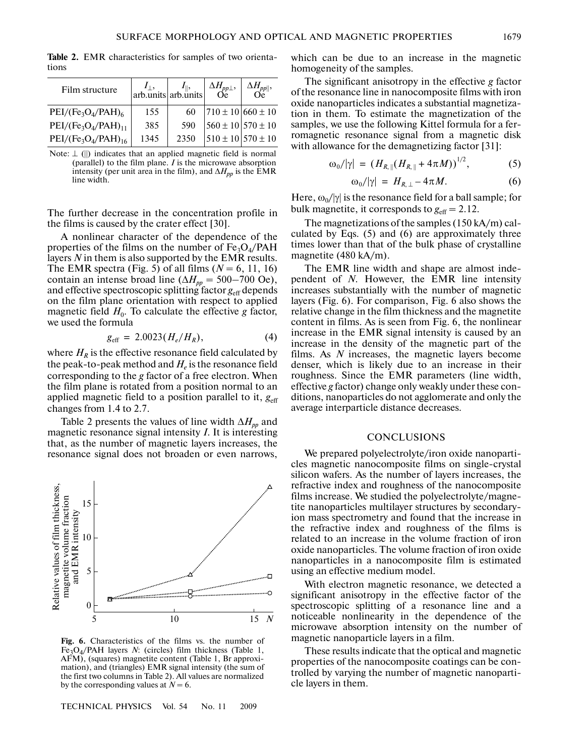Film structure  $\left| \right|_{\left| \right| = 1}$ arb.units  $I_{\parallel}$ , arb.units Δ*Hpp*⊥, Oe Δ*Hpp*||, Oe  $PEI/(Fe<sub>3</sub>O<sub>4</sub>/PAH)<sub>6</sub>$  155 60  $710 \pm 10$  660 ± 10  $PEI/(Fe<sub>3</sub>O<sub>4</sub>/PAH)<sub>11</sub>$  385 590 560 ± 10 570 ± 10  $PEI/(Fe_3O_4/PAH)_{16}$  1345 2350  $510 \pm 10$  570  $\pm 10$ 

**Table 2.** EMR characteristics for samples of two orienta tions

Note:  $\perp$  (||) indicates that an applied magnetic field is normal (parallel) to the film plane. *I* is the microwave absorption intensity (per unit area in the film), and  $\Delta H_{pp}$  is the EMR line width.

The further decrease in the concentration profile in the films is caused by the crater effect [30].

A nonlinear character of the dependence of the properties of the films on the number of  $Fe_3O_4$ /PAH layers *N* in them is also supported by the EMR results. The EMR spectra (Fig. 5) of all films  $(N = 6, 11, 16)$ contain an intense broad line ( $\Delta H_{pp} = 500-700$  Oe), and effective spectroscopic splitting factor  $g_{\text{eff}}$  depends on the film plane orientation with respect to applied magnetic field  $H_0$ . To calculate the effective *g* factor, we used the formula

$$
g_{\rm eff} = 2.0023(H_e/H_R), \tag{4}
$$

where  $H_R$  is the effective resonance field calculated by the peak-to-peak method and  $H_e$  is the resonance field corresponding to the *g* factor of a free electron. When the film plane is rotated from a position normal to an applied magnetic field to a position parallel to it,  $g_{\text{eff}}$ changes from 1.4 to 2.7.

Table 2 presents the values of line width  $\Delta H_{pp}$  and magnetic resonance signal intensity *I*. It is interesting that, as the number of magnetic layers increases, the resonance signal does not broaden or even narrows,



**Fig. 6.** Characteristics of the films vs. the number of Fe3O4/PAH layers *N*: (circles) film thickness (Table 1, AFM), (squares) magnetite content (Table 1, Br approxi mation), and (triangles) EMR signal intensity (the sum of the first two columns in Table 2). All values are normalized by the corresponding values at  $N = 6$ .

TECHNICAL PHYSICS Vol. 54 No. 11 2009

which can be due to an increase in the magnetic homogeneity of the samples.

The significant anisotropy in the effective *g* factor of the resonance line in nanocomposite films with iron oxide nanoparticles indicates a substantial magnetiza tion in them. To estimate the magnetization of the samples, we use the following Kittel formula for a fer romagnetic resonance signal from a magnetic disk with allowance for the demagnetizing factor [31]:

$$
\omega_0/|\gamma| = (H_{R,\parallel}(H_{R,\parallel} + 4\pi M))^{1/2}, \tag{5}
$$

$$
\omega_0/|\gamma| = H_{R,\perp} - 4\pi M. \tag{6}
$$

Here,  $\omega_0/|\gamma|$  is the resonance field for a ball sample; for bulk magnetite, it corresponds to  $g_{\text{eff}} = 2.12$ .

The magnetizations of the samples (150 kA/m) cal culated by Eqs. (5) and (6) are approximately three times lower than that of the bulk phase of crystalline magnetite (480 kA/m).

The EMR line width and shape are almost inde pendent of *N*. However, the EMR line intensity increases substantially with the number of magnetic layers (Fig. 6). For comparison, Fig. 6 also shows the relative change in the film thickness and the magnetite content in films. As is seen from Fig. 6, the nonlinear increase in the EMR signal intensity is caused by an increase in the density of the magnetic part of the films. As *N* increases, the magnetic layers become denser, which is likely due to an increase in their roughness. Since the EMR parameters (line width, effective *g* factor) change only weakly under these con ditions, nanoparticles do not agglomerate and only the average interparticle distance decreases.

## **CONCLUSIONS**

We prepared polyelectrolyte/iron oxide nanoparti cles magnetic nanocomposite films on single-crystal silicon wafers. As the number of layers increases, the refractive index and roughness of the nanocomposite films increase. We studied the polyelectrolyte/magne tite nanoparticles multilayer structures by secondary ion mass spectrometry and found that the increase in the refractive index and roughness of the films is related to an increase in the volume fraction of iron oxide nanoparticles. The volume fraction of iron oxide nanoparticles in a nanocomposite film is estimated using an effective medium model.

With electron magnetic resonance, we detected a significant anisotropy in the effective factor of the spectroscopic splitting of a resonance line and a noticeable nonlinearity in the dependence of the microwave absorption intensity on the number of magnetic nanoparticle layers in a film.

These results indicate that the optical and magnetic properties of the nanocomposite coatings can be con trolled by varying the number of magnetic nanoparti cle layers in them.